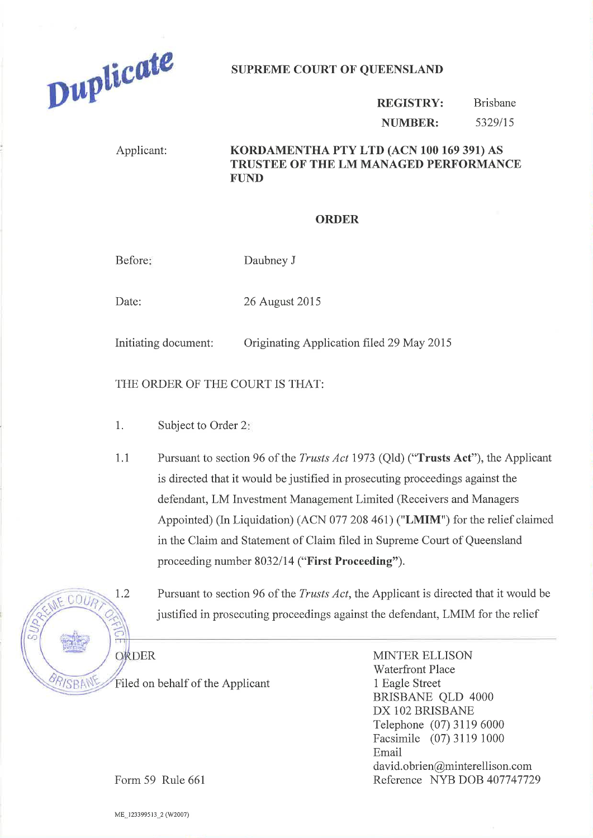

## SUPREME COURT OF QUEENSLAND

## REGISTRY: NUMBER: Brisbane s329lIs

## Applicant: KORDAMENTHA PTY LTD (ACN 100 169 391) AS TRUSTEE OF THE LM MANAGED PERFORMANCE FUND

## ORDER

Before: Daubney J

Date: 26 August 2015

Initiating document: Originating Application filed 29 May 2015

THE ORDER OF THE COURT IS THAT:

- 1. Subject to Order <sup>2</sup>
- 1.1 Pursuant to section 96 of the *Trusts Act* 1973 (Qld) ("**Trusts Act**"), the Applicant is directed that it would be justified in prosecuting proceedings against the defendant, LM Investment Management Limited (Receivers and Managers Appointed) (In Liquidation) (ACN 077 208 461) ("LMIM") for the relief claimed in the Claim and Statement of Claim filed in Supreme Court of Queensland proceeding number 8032/14 ("First Proceeding").

 $0011$ ORDER *RISBAN* 

1.2 Pursuant to section 96 of the *Trusts Act*, the Applicant is directed that it would be justified in prosecuting proceedings against the defendant, LMIM for the relief

Filed on behalf of the Applicant

MINTER ELLISON Waterfront Place 1 Eagle Street BRISBANE QLD 4000 DX 102 BRISBANE Telephone (07) 31 19 6000 Facsimile (07) 3119 1000 Email david. obrien@minterellison. com Reference NYB DOB 407747129

Form 59 Rule 661

ME\_123399513 2 (W2007)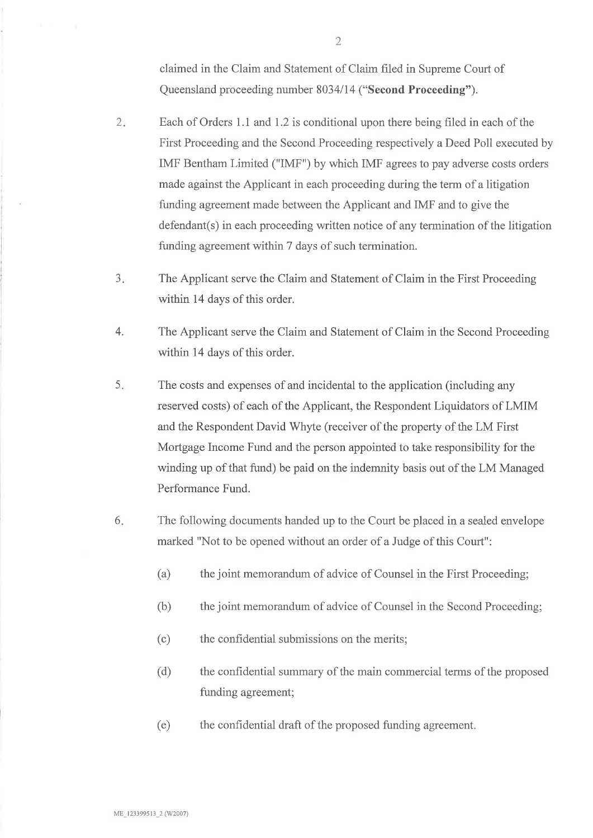claimed in the Claim and Statement of Claim filed in Supreme Court of Queensland proceeding number 8034/14 ("Second Proceeding").

- $2.$ Each of Orders 1.1 and 1.2 is conditional upon there being filed in each of the First Proceeding and the Second Proceeding respectively a Deed Poll executed by IMF Bentham Limited ("IMF") by which IMF agrees to pay adverse costs orders made against the Applicant in each proceeding during the term of a litigation funding agreement made between the Applicant and IMF and to give the defendant(s) in each proceeding written notice of any termination of the litigation funding agreement within 7 days of such termination.
- The Applicant serve the Claim and Statement of Claim in the First Proceeding within 14 days of this order. a J
- The Applicant serve the Ciaim and Statement of Claim in the Second Proceeding within 14 days of this order. 4.
- The costs and expenses of and incidental to the application (including any reserved costs) of each of the Applicant, the Respondent Liquidators of LMIM and the Respondent David Whyte (receiver of the property of the LM First Mortgage Income Fund and the person appointed to take responsibility for the winding up of that fund) be paid on the indemnity basis out of the LM Managed Performance Fund. 5.
- The following documents handed up to the Court be placed in a sealed envelope marked "Not to be opened without an order of a Judge of this Court": 6
	- (a) the joint memorandum of advice of Counsel in the First Proceeding;
	- (b) the joint memorandum of advice of Counsel in the Second Proceeding;
	- (c) the confidential submissions on the merits;
	- (d) the confidential summary of the main commercial terms of the proposed funding agreement;
	- (e) the confidential draft of the proposed funding agreement.

2